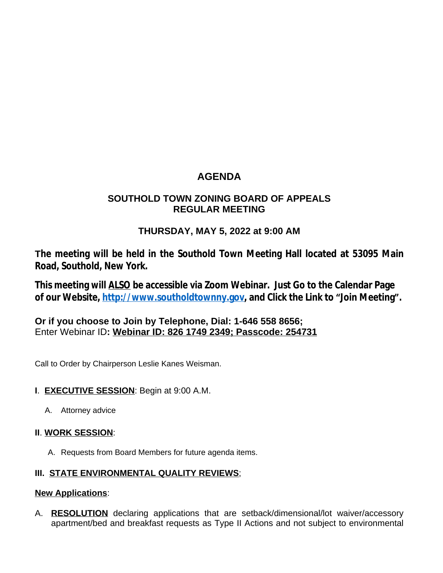# **AGENDA**

### **SOUTHOLD TOWN ZONING BOARD OF APPEALS REGULAR MEETING**

## **THURSDAY, MAY 5, 2022 at 9:00 AM**

**The meeting will be held in the Southold Town Meeting Hall located at 53095 Main Road, Southold, New York.**

**This meeting will ALSO be accessible via Zoom Webinar. Just Go to the Calendar Page of our Website, [http://www.southoldtownny.gov,](http://www.southoldtownny.gov) and Click the Link to "Join Meeting".**

**Or if you choose to Join by Telephone, Dial: 1-646 558 8656;** Enter Webinar ID**: Webinar ID: 826 1749 2349; Passcode: 254731**

Call to Order by Chairperson Leslie Kanes Weisman.

### **I**. **EXECUTIVE SESSION**: Begin at 9:00 A.M.

A. Attorney advice

### **II**. **WORK SESSION**:

A. Requests from Board Members for future agenda items.

### **III. STATE ENVIRONMENTAL QUALITY REVIEWS**;

#### **New Applications**:

A. **RESOLUTION** declaring applications that are setback/dimensional/lot waiver/accessory apartment/bed and breakfast requests as Type II Actions and not subject to environmental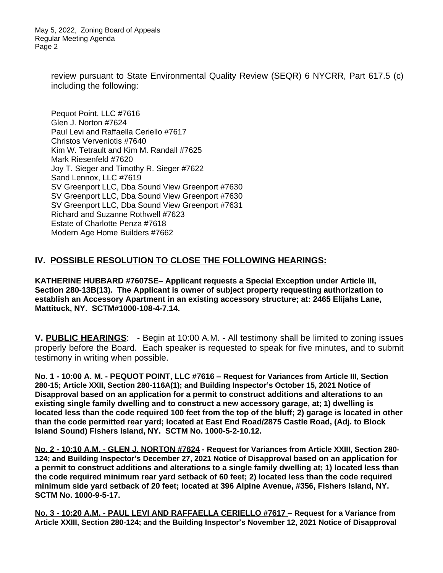May 5, 2022, Zoning Board of Appeals Regular Meeting Agenda Page 2

> review pursuant to State Environmental Quality Review (SEQR) 6 NYCRR, Part 617.5 (c) including the following:

Pequot Point, LLC #7616 Glen J. Norton #7624 Paul Levi and Raffaella Ceriello #7617 Christos Verveniotis #7640 Kim W. Tetrault and Kim M. Randall #7625 Mark Riesenfeld #7620 Joy T. Sieger and Timothy R. Sieger #7622 Sand Lennox, LLC #7619 SV Greenport LLC, Dba Sound View Greenport #7630 SV Greenport LLC, Dba Sound View Greenport #7630 SV Greenport LLC, Dba Sound View Greenport #7631 Richard and Suzanne Rothwell #7623 Estate of Charlotte Penza #7618 Modern Age Home Builders #7662

#### **IV. POSSIBLE RESOLUTION TO CLOSE THE FOLLOWING HEARINGS:**

**KATHERINE HUBBARD #7607SE– Applicant requests a Special Exception under Article III, Section 280-13B(13). The Applicant is owner of subject property requesting authorization to establish an Accessory Apartment in an existing accessory structure; at: 2465 Elijahs Lane, Mattituck, NY. SCTM#1000-108-4-7.14.**

**V. PUBLIC HEARINGS**: - Begin at 10:00 A.M. - All testimony shall be limited to zoning issues properly before the Board. Each speaker is requested to speak for five minutes, and to submit testimony in writing when possible.

**No. 1 - 10:00 A. M. - PEQUOT POINT, LLC #7616 – Request for Variances from Article III, Section 280-15; Article XXII, Section 280-116A(1); and Building Inspector's October 15, 2021 Notice of Disapproval based on an application for a permit to construct additions and alterations to an existing single family dwelling and to construct a new accessory garage, at; 1) dwelling is located less than the code required 100 feet from the top of the bluff; 2) garage is located in other than the code permitted rear yard; located at East End Road/2875 Castle Road, (Adj. to Block Island Sound) Fishers Island, NY. SCTM No. 1000-5-2-10.12.**

**No. 2 - 10:10 A.M. - GLEN J. NORTON #7624 - Request for Variances from Article XXIII, Section 280- 124; and Building Inspector's December 27, 2021 Notice of Disapproval based on an application for a permit to construct additions and alterations to a single family dwelling at; 1) located less than the code required minimum rear yard setback of 60 feet; 2) located less than the code required minimum side yard setback of 20 feet; located at 396 Alpine Avenue, #356, Fishers Island, NY. SCTM No. 1000-9-5-17.**

**No. 3 - 10:20 A.M. - PAUL LEVI AND RAFFAELLA CERIELLO #7617 – Request for a Variance from Article XXIII, Section 280-124; and the Building Inspector's November 12, 2021 Notice of Disapproval**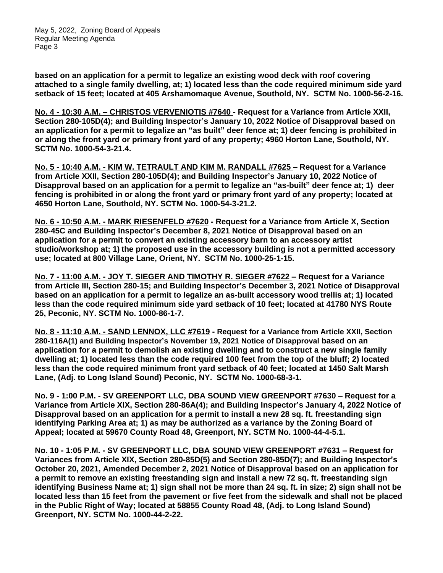**based on an application for a permit to legalize an existing wood deck with roof covering attached to a single family dwelling, at; 1) located less than the code required minimum side yard setback of 15 feet; located at 405 Arshamomaque Avenue, Southold, NY. SCTM No. 1000-56-2-16.**

**No. 4 - 10:30 A.M. – CHRISTOS VERVENIOTIS #7640 - Request for a Variance from Article XXII, Section 280-105D(4); and Building Inspector's January 10, 2022 Notice of Disapproval based on an application for a permit to legalize an "as built" deer fence at; 1) deer fencing is prohibited in or along the front yard or primary front yard of any property; 4960 Horton Lane, Southold, NY. SCTM No. 1000-54-3-21.4.**

**No. 5 - 10:40 A.M. - KIM W. TETRAULT AND KIM M. RANDALL #7625 – Request for a Variance from Article XXII, Section 280-105D(4); and Building Inspector's January 10, 2022 Notice of Disapproval based on an application for a permit to legalize an "as-built" deer fence at; 1) deer fencing is prohibited in or along the front yard or primary front yard of any property; located at 4650 Horton Lane, Southold, NY. SCTM No. 1000-54-3-21.2.**

**No. 6 - 10:50 A.M. - MARK RIESENFELD #7620 - Request for a Variance from Article X, Section 280-45C and Building Inspector's December 8, 2021 Notice of Disapproval based on an application for a permit to convert an existing accessory barn to an accessory artist studio/workshop at; 1) the proposed use in the accessory building is not a permitted accessory use; located at 800 Village Lane, Orient, NY. SCTM No. 1000-25-1-15.**

**No. 7 - 11:00 A.M. - JOY T. SIEGER AND TIMOTHY R. SIEGER #7622 – Request for a Variance from Article III, Section 280-15; and Building Inspector's December 3, 2021 Notice of Disapproval based on an application for a permit to legalize an as-built accessory wood trellis at; 1) located less than the code required minimum side yard setback of 10 feet; located at 41780 NYS Route 25, Peconic, NY. SCTM No. 1000-86-1-7.**

**No. 8 - 11:10 A.M. - SAND LENNOX, LLC #7619 - Request for a Variance from Article XXII, Section 280-116A(1) and Building Inspector's November 19, 2021 Notice of Disapproval based on an application for a permit to demolish an existing dwelling and to construct a new single family dwelling at; 1) located less than the code required 100 feet from the top of the bluff; 2) located less than the code required minimum front yard setback of 40 feet; located at 1450 Salt Marsh Lane, (Adj. to Long Island Sound) Peconic, NY. SCTM No. 1000-68-3-1.**

**No. 9 - 1:00 P.M. - SV GREENPORT LLC, DBA SOUND VIEW GREENPORT #7630 – Request for a Variance from Article XIX, Section 280-86A(4); and Building Inspector's January 4, 2022 Notice of Disapproval based on an application for a permit to install a new 28 sq. ft. freestanding sign identifying Parking Area at; 1) as may be authorized as a variance by the Zoning Board of Appeal; located at 59670 County Road 48, Greenport, NY. SCTM No. 1000-44-4-5.1.**

**No. 10 - 1:05 P.M. - SV GREENPORT LLC, DBA SOUND VIEW GREENPORT #7631 – Request for Variances from Article XIX, Section 280-85D(5) and Section 280-85D(7); and Building Inspector's October 20, 2021, Amended December 2, 2021 Notice of Disapproval based on an application for a permit to remove an existing freestanding sign and install a new 72 sq. ft. freestanding sign identifying Business Name at; 1) sign shall not be more than 24 sq. ft. in size; 2) sign shall not be located less than 15 feet from the pavement or five feet from the sidewalk and shall not be placed in the Public Right of Way; located at 58855 County Road 48, (Adj. to Long Island Sound) Greenport, NY. SCTM No. 1000-44-2-22.**